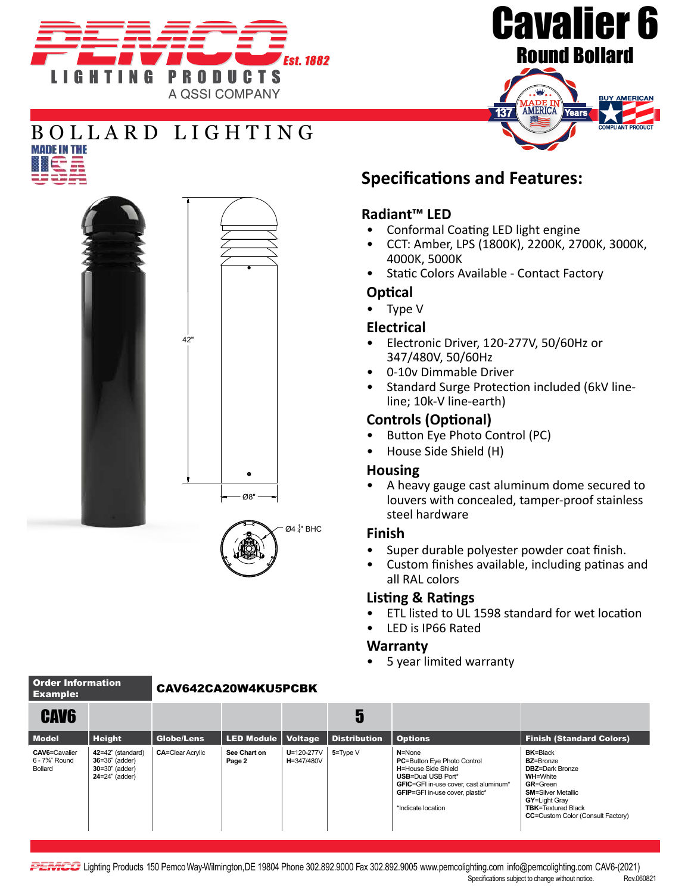



## BOLLARD LIGHTING



### **Specifications and Features:**

#### **Radiant™ LED**

- Conformal Coating LED light engine
- CCT: Amber, LPS (1800K), 2200K, 2700K, 3000K, 4000K, 5000K
- Static Colors Available Contact Factory

#### **Optical**

• Type V

#### **Electrical**

- Electronic Driver, 120-277V, 50/60Hz or 347/480V, 50/60Hz
- 0-10v Dimmable Driver
- Standard Surge Protection included (6kV lineline; 10k-V line-earth)

#### **Controls (Optional)**

- Button Eye Photo Control (PC)
- House Side Shield (H)

#### **Housing**

• A heavy gauge cast aluminum dome secured to louvers with concealed, tamper-proof stainless steel hardware

#### **Finish**

- Super durable polyester powder coat finish.
- Custom finishes available, including patinas and all RAL colors

#### **Listing & Ratings**

- ETL listed to UL 1598 standard for wet location
- LED is IP66 Rated

#### **Warranty**

• 5 year limited warranty

| <u>ехатріе:</u>                                                              |                                                                                       |                         |                        |                                |                     |                                                                                                                                                                                                                       |                                                                                                                                                                                                                       |
|------------------------------------------------------------------------------|---------------------------------------------------------------------------------------|-------------------------|------------------------|--------------------------------|---------------------|-----------------------------------------------------------------------------------------------------------------------------------------------------------------------------------------------------------------------|-----------------------------------------------------------------------------------------------------------------------------------------------------------------------------------------------------------------------|
| <b>CAV6</b>                                                                  |                                                                                       |                         |                        |                                | b                   |                                                                                                                                                                                                                       |                                                                                                                                                                                                                       |
| <b>Model</b>                                                                 | <b>Height</b>                                                                         | Globe/Lens              | <b>LED Module</b>      | <b>Voltage</b>                 | <b>Distribution</b> | <b>Options</b>                                                                                                                                                                                                        | <b>Finish (Standard Colors)</b>                                                                                                                                                                                       |
| <b>CAV6=Cavalier</b><br>6 - 7 <sup>3</sup> / <sub>4</sub> " Round<br>Bollard | 42=42" (standard)<br>$36 = 36"$ (adder)<br>$30 = 30$ " (adder)<br>$24 = 24$ " (adder) | <b>CA=Clear Acrylic</b> | See Chart on<br>Page 2 | $U = 120 - 277V$<br>H=347/480V | $5 = TypeV$         | $N = None$<br><b>PC=Button Eye Photo Control</b><br><b>H</b> =House Side Shield<br><b>USB=Dual USB Port*</b><br>GFIC=GFI in-use cover, cast aluminum*<br><b>GFIP=GFI</b> in-use cover, plastic*<br>*Indicate location | <b>BK=Black</b><br><b>BZ=Bronze</b><br><b>DBZ</b> =Dark Bronze<br><b>WH=White</b><br>GR=Green<br><b>SM=Silver Metallic</b><br>GY=Light Gray<br><b>TBK</b> =Textured Black<br><b>CC=Custom Color (Consult Factory)</b> |

**PEMCC** Lighting Products 150 Pemco Way-Wilmington, DE 19804 Phone 302.892.9000 Fax 302.892.9005 www.pemcolighting.com info@pemcolighting.com CAV6-(2021) Specifications subject to change without notice. Rev.060821

#### Order Information

#### Example: CAV642CA20W4KU5PCBK